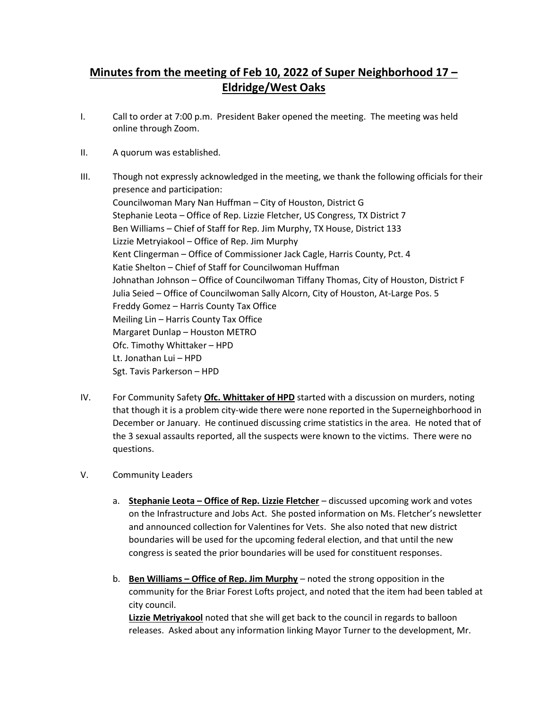## Minutes from the meeting of Feb 10, 2022 of Super Neighborhood 17 – Eldridge/West Oaks

- I. Call to order at 7:00 p.m. President Baker opened the meeting. The meeting was held online through Zoom.
- II. A quorum was established.
- III. Though not expressly acknowledged in the meeting, we thank the following officials for their presence and participation: Councilwoman Mary Nan Huffman – City of Houston, District G Stephanie Leota – Office of Rep. Lizzie Fletcher, US Congress, TX District 7 Ben Williams – Chief of Staff for Rep. Jim Murphy, TX House, District 133 Lizzie Metryiakool – Office of Rep. Jim Murphy Kent Clingerman – Office of Commissioner Jack Cagle, Harris County, Pct. 4 Katie Shelton – Chief of Staff for Councilwoman Huffman Johnathan Johnson – Office of Councilwoman Tiffany Thomas, City of Houston, District F Julia Seied – Office of Councilwoman Sally Alcorn, City of Houston, At-Large Pos. 5 Freddy Gomez – Harris County Tax Office Meiling Lin – Harris County Tax Office Margaret Dunlap – Houston METRO Ofc. Timothy Whittaker – HPD Lt. Jonathan Lui – HPD Sgt. Tavis Parkerson – HPD
- IV. For Community Safety **Ofc. Whittaker of HPD** started with a discussion on murders, noting that though it is a problem city-wide there were none reported in the Superneighborhood in December or January. He continued discussing crime statistics in the area. He noted that of the 3 sexual assaults reported, all the suspects were known to the victims. There were no questions.
- V. Community Leaders
	- a. Stephanie Leota Office of Rep. Lizzie Fletcher discussed upcoming work and votes on the Infrastructure and Jobs Act. She posted information on Ms. Fletcher's newsletter and announced collection for Valentines for Vets. She also noted that new district boundaries will be used for the upcoming federal election, and that until the new congress is seated the prior boundaries will be used for constituent responses.
	- b. Ben Williams Office of Rep. Jim Murphy noted the strong opposition in the community for the Briar Forest Lofts project, and noted that the item had been tabled at city council.

Lizzie Metriyakool noted that she will get back to the council in regards to balloon releases. Asked about any information linking Mayor Turner to the development, Mr.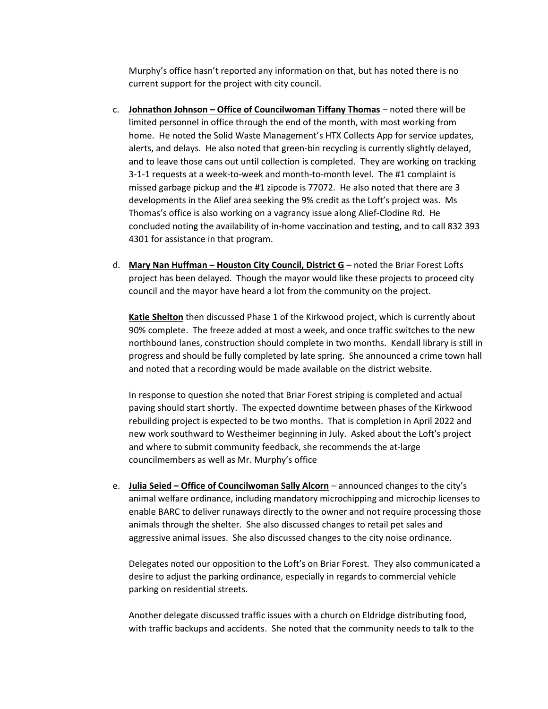Murphy's office hasn't reported any information on that, but has noted there is no current support for the project with city council.

- c. Johnathon Johnson Office of Councilwoman Tiffany Thomas noted there will be limited personnel in office through the end of the month, with most working from home. He noted the Solid Waste Management's HTX Collects App for service updates, alerts, and delays. He also noted that green-bin recycling is currently slightly delayed, and to leave those cans out until collection is completed. They are working on tracking 3-1-1 requests at a week-to-week and month-to-month level. The #1 complaint is missed garbage pickup and the #1 zipcode is 77072. He also noted that there are 3 developments in the Alief area seeking the 9% credit as the Loft's project was. Ms Thomas's office is also working on a vagrancy issue along Alief-Clodine Rd. He concluded noting the availability of in-home vaccination and testing, and to call 832 393 4301 for assistance in that program.
- d. Mary Nan Huffman Houston City Council, District G noted the Briar Forest Lofts project has been delayed. Though the mayor would like these projects to proceed city council and the mayor have heard a lot from the community on the project.

Katie Shelton then discussed Phase 1 of the Kirkwood project, which is currently about 90% complete. The freeze added at most a week, and once traffic switches to the new northbound lanes, construction should complete in two months. Kendall library is still in progress and should be fully completed by late spring. She announced a crime town hall and noted that a recording would be made available on the district website.

In response to question she noted that Briar Forest striping is completed and actual paving should start shortly. The expected downtime between phases of the Kirkwood rebuilding project is expected to be two months. That is completion in April 2022 and new work southward to Westheimer beginning in July. Asked about the Loft's project and where to submit community feedback, she recommends the at-large councilmembers as well as Mr. Murphy's office

e. Julia Seied – Office of Councilwoman Sally Alcorn – announced changes to the city's animal welfare ordinance, including mandatory microchipping and microchip licenses to enable BARC to deliver runaways directly to the owner and not require processing those animals through the shelter. She also discussed changes to retail pet sales and aggressive animal issues. She also discussed changes to the city noise ordinance.

Delegates noted our opposition to the Loft's on Briar Forest. They also communicated a desire to adjust the parking ordinance, especially in regards to commercial vehicle parking on residential streets.

Another delegate discussed traffic issues with a church on Eldridge distributing food, with traffic backups and accidents. She noted that the community needs to talk to the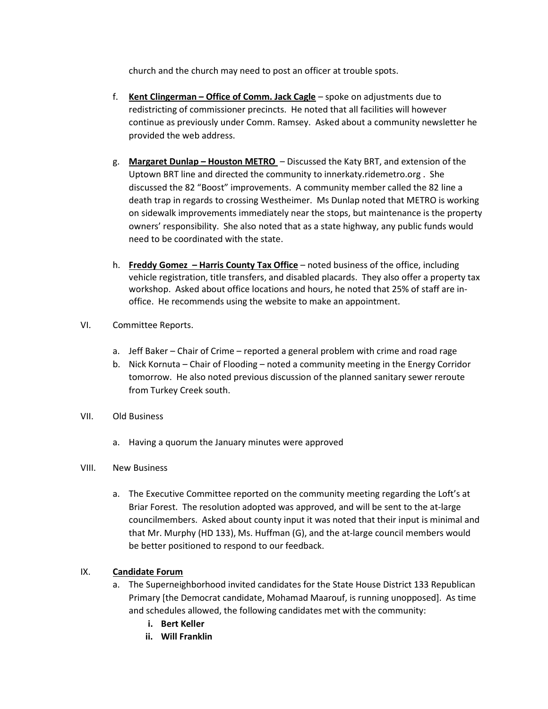church and the church may need to post an officer at trouble spots.

- f. Kent Clingerman Office of Comm. Jack Cagle spoke on adjustments due to redistricting of commissioner precincts. He noted that all facilities will however continue as previously under Comm. Ramsey. Asked about a community newsletter he provided the web address.
- g. Margaret Dunlap Houston METRO Discussed the Katy BRT, and extension of the Uptown BRT line and directed the community to innerkaty.ridemetro.org . She discussed the 82 "Boost" improvements. A community member called the 82 line a death trap in regards to crossing Westheimer. Ms Dunlap noted that METRO is working on sidewalk improvements immediately near the stops, but maintenance is the property owners' responsibility. She also noted that as a state highway, any public funds would need to be coordinated with the state.
- h. Freddy Gomez Harris County Tax Office noted business of the office, including vehicle registration, title transfers, and disabled placards. They also offer a property tax workshop. Asked about office locations and hours, he noted that 25% of staff are inoffice. He recommends using the website to make an appointment.
- VI. Committee Reports.
	- a. Jeff Baker Chair of Crime reported a general problem with crime and road rage
	- b. Nick Kornuta Chair of Flooding noted a community meeting in the Energy Corridor tomorrow. He also noted previous discussion of the planned sanitary sewer reroute from Turkey Creek south.
- VII. Old Business
	- a. Having a quorum the January minutes were approved
- VIII. New Business
	- a. The Executive Committee reported on the community meeting regarding the Loft's at Briar Forest. The resolution adopted was approved, and will be sent to the at-large councilmembers. Asked about county input it was noted that their input is minimal and that Mr. Murphy (HD 133), Ms. Huffman (G), and the at-large council members would be better positioned to respond to our feedback.

## IX. Candidate Forum

- a. The Superneighborhood invited candidates for the State House District 133 Republican Primary [the Democrat candidate, Mohamad Maarouf, is running unopposed]. As time and schedules allowed, the following candidates met with the community:
	- i. Bert Keller
	- ii. Will Franklin